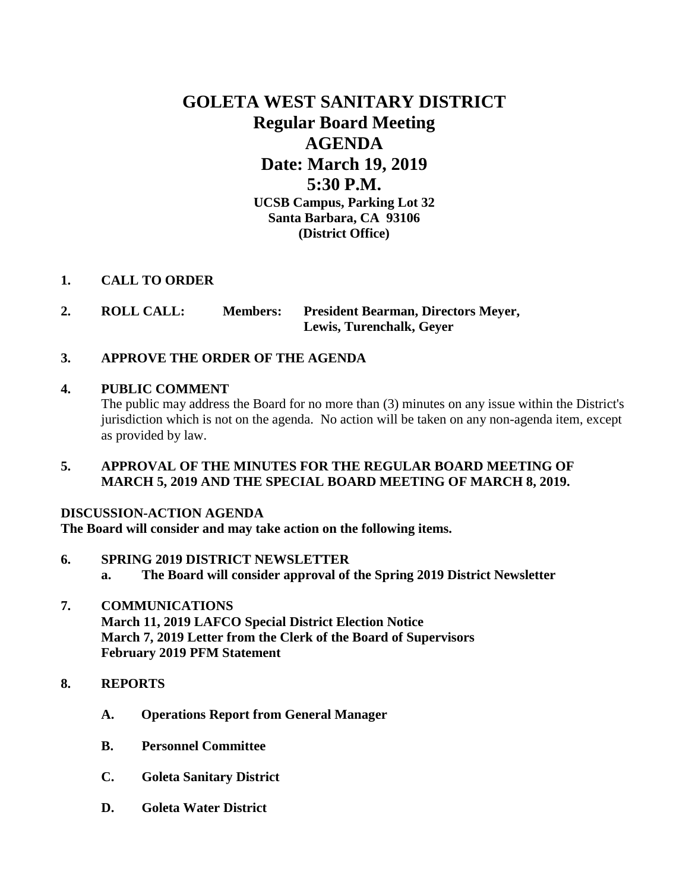# **GOLETA WEST SANITARY DISTRICT Regular Board Meeting AGENDA Date: March 19, 2019 5:30 P.M. UCSB Campus, Parking Lot 32 Santa Barbara, CA 93106 (District Office)**

# **1. CALL TO ORDER**

**2. ROLL CALL: Members: President Bearman, Directors Meyer, Lewis, Turenchalk, Geyer**

# **3. APPROVE THE ORDER OF THE AGENDA**

### **4. PUBLIC COMMENT**

The public may address the Board for no more than (3) minutes on any issue within the District's jurisdiction which is not on the agenda. No action will be taken on any non-agenda item, except as provided by law.

### **5. APPROVAL OF THE MINUTES FOR THE REGULAR BOARD MEETING OF MARCH 5, 2019 AND THE SPECIAL BOARD MEETING OF MARCH 8, 2019.**

### **DISCUSSION-ACTION AGENDA**

**The Board will consider and may take action on the following items.**

- **6. SPRING 2019 DISTRICT NEWSLETTER**
	- **a. The Board will consider approval of the Spring 2019 District Newsletter**
- **7. COMMUNICATIONS March 11, 2019 LAFCO Special District Election Notice March 7, 2019 Letter from the Clerk of the Board of Supervisors February 2019 PFM Statement**
- **8. REPORTS**
	- **A. Operations Report from General Manager**
	- **B. Personnel Committee**
	- **C. Goleta Sanitary District**
	- **D. Goleta Water District**